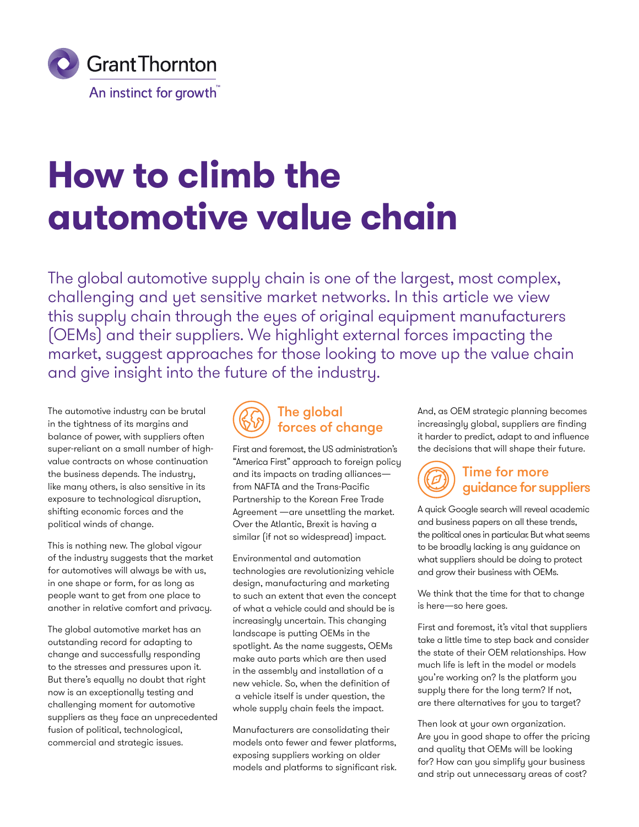

# **How to climb the automotive value chain**

The global automotive supply chain is one of the largest, most complex, challenging and yet sensitive market networks. In this article we view this supply chain through the eyes of original equipment manufacturers (OEMs) and their suppliers. We highlight external forces impacting the market, suggest approaches for those looking to move up the value chain and give insight into the future of the industry.

The automotive industry can be brutal in the tightness of its margins and balance of power, with suppliers often super-reliant on a small number of highvalue contracts on whose continuation the business depends. The industry, like many others, is also sensitive in its exposure to technological disruption, shifting economic forces and the political winds of change.

This is nothing new. The global vigour of the industry suggests that the market for automotives will always be with us, in one shape or form, for as long as people want to get from one place to another in relative comfort and privacy.

The global automotive market has an outstanding record for adapting to change and successfully responding to the stresses and pressures upon it. But there's equally no doubt that right now is an exceptionally testing and challenging moment for automotive suppliers as they face an unprecedented fusion of political, technological, commercial and strategic issues.



First and foremost, the US administration's "America First" approach to foreign policy and its impacts on trading alliances from NAFTA and the Trans-Pacific Partnership to the Korean Free Trade Agreement —are unsettling the market. Over the Atlantic, Brexit is having a similar (if not so widespread) impact.

Environmental and automation technologies are revolutionizing vehicle design, manufacturing and marketing to such an extent that even the concept of what a vehicle could and should be is increasingly uncertain. This changing landscape is putting OEMs in the spotlight. As the name suggests, OEMs make auto parts which are then used in the assembly and installation of a new vehicle. So, when the definition of a vehicle itself is under question, the whole supply chain feels the impact.

Manufacturers are consolidating their models onto fewer and fewer platforms, exposing suppliers working on older models and platforms to significant risk. And, as OEM strategic planning becomes increasingly global, suppliers are finding it harder to predict, adapt to and influence the decisions that will shape their future.



A quick Google search will reveal academic and business papers on all these trends, the political ones in particular. But what seems to be broadly lacking is any guidance on what suppliers should be doing to protect and grow their business with OEMs.

We think that the time for that to change is here—so here goes.

First and foremost, it's vital that suppliers take a little time to step back and consider the state of their OEM relationships. How much life is left in the model or models you're working on? Is the platform you supply there for the long term? If not, are there alternatives for you to target?

Then look at your own organization. Are you in good shape to offer the pricing and quality that OEMs will be looking for? How can you simplify your business and strip out unnecessary areas of cost?